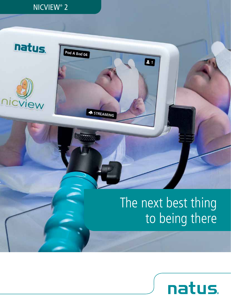## NICVIEW® 2

Pod A Bed 04

STREAMING

natus.

## The next best thing to being there

Ø

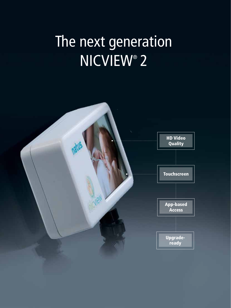# The next generation NICVIEW® 2

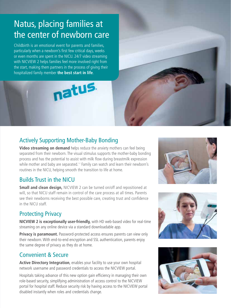## Natus, placing families at the center of newborn care

Childbirth is an emotional event for parents and families, particularly when a newborn's first few critical days, weeks or even months are spent in the NICU. 24/7 video streaming with NICVIEW 2 helps families feel more involved right from the start, making them partners in the process of giving their hospitalized family member **the best start in life**.

## Actively Supporting Mother-Baby Bonding

natus.

**Video streaming on demand** helps reduce the anxiety mothers can feel being separated from their newborn. The visual stimulus supports the mother-baby bonding process and has the potential to assist with milk flow during breastmilk expression while mother and baby are separated.<sup>1,2</sup> Family can watch and learn their newborn's routines in the NICU, helping smooth the transition to life at home.

#### Builds Trust in the NICU

**Small and clean design,** NICVIEW 2 can be turned on/off and repositioned at will, so that NICU staff remain in control of the care process at all times. Parents see their newborns receiving the best possible care, creating trust and confidence in the NICU staff.

### Protecting Privacy

**NICVIEW 2 is exceptionally user-friendly,** with HD web-based video for real-time streaming on any online device via a standard downloadable app.

**Privacy is paramount.** Password-protected access ensures parents can view only their newborn. With end-to-end encryption and SSL authentication, parents enjoy the same degree of privacy as they do at home.

#### Convenient & Secure

**Active Directory Integration**, enables your facility to use your own hospital network username and password credentials to access the NICVIEW portal.

Hospitals taking advance of this new option gain efficiency in managing their own role-based security, simplifying administration of access control to the NICVIEW portal for hospital staff. Reduce security risk by having access to the NICVIEW portal disabled instantly when roles and credentials change.